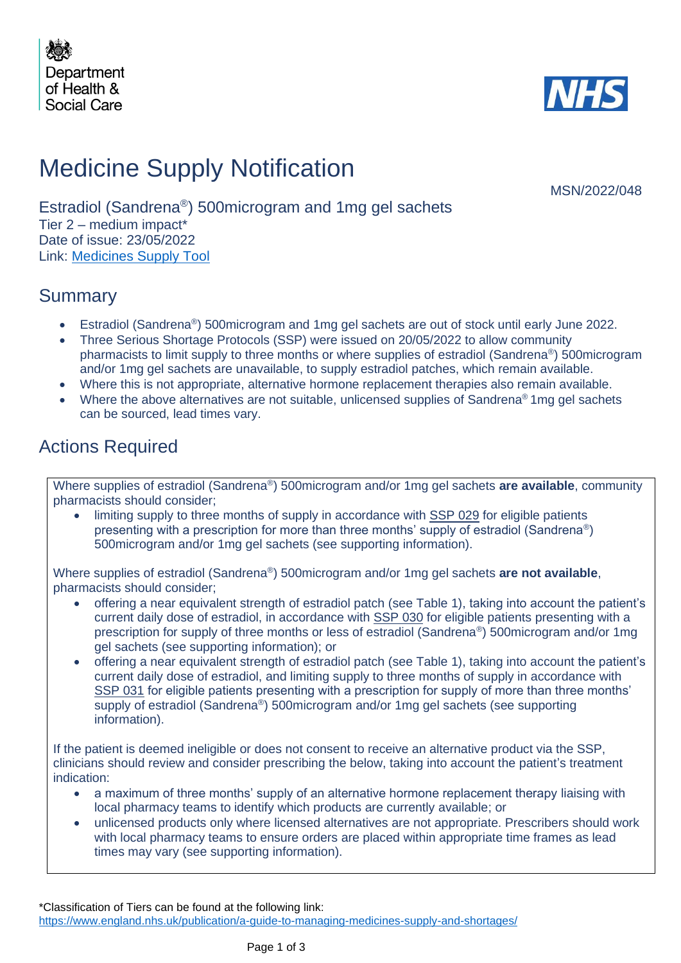



# Medicine Supply Notification

MSN/2022/048

Estradiol (Sandrena® ) 500microgram and 1mg gel sachets Tier 2 – medium impact\* Date of issue: 23/05/2022 Link: [Medicines Supply Tool](https://www.sps.nhs.uk/home/planning/medicines-supply-tool/)

### Summary

- Estradiol (Sandrena®) 500microgram and 1mg gel sachets are out of stock until early June 2022.
- Three Serious Shortage Protocols (SSP) were issued on 20/05/2022 to allow community pharmacists to limit supply to three months or where supplies of estradiol (Sandrena®) 500microgram and/or 1mg gel sachets are unavailable, to supply estradiol patches, which remain available.
- Where this is not appropriate, alternative hormone replacement therapies also remain available.
- Where the above alternatives are not suitable, unlicensed supplies of Sandrena® 1mg gel sachets can be sourced, lead times vary.

### Actions Required

Where supplies of estradiol (Sandrena® ) 500microgram and/or 1mg gel sachets **are available**, community pharmacists should consider;

limiting supply to three months of supply in accordance with SSP 029 for eligible patients presenting with a prescription for more than three months' supply of estradiol (Sandrena®) 500microgram and/or 1mg gel sachets (see supporting information).

Where supplies of estradiol (Sandrena® ) 500microgram and/or 1mg gel sachets **are not available**, pharmacists should consider;

- offering a near equivalent strength of estradiol patch (see Table 1), taking into account the patient's current daily dose of estradiol, in accordance with SSP 030 for eligible patients presenting with a prescription for supply of three months or less of estradiol (Sandrena®) 500microgram and/or 1mg gel sachets (see supporting information); or
- offering a near equivalent strength of estradiol patch (see Table 1), taking into account the patient's current daily dose of estradiol, and limiting supply to three months of supply in accordance with SSP 031 for eligible patients presenting with a prescription for supply of more than three months' supply of estradiol (Sandrena®) 500microgram and/or 1mg gel sachets (see supporting information).

If the patient is deemed ineligible or does not consent to receive an alternative product via the SSP, clinicians should review and consider prescribing the below, taking into account the patient's treatment indication:

- a maximum of three months' supply of an alternative hormone replacement therapy liaising with local pharmacy teams to identify which products are currently available; or
- unlicensed products only where licensed alternatives are not appropriate. Prescribers should work with local pharmacy teams to ensure orders are placed within appropriate time frames as lead times may vary (see supporting information).

\*Classification of Tiers can be found at the following link: <https://www.england.nhs.uk/publication/a-guide-to-managing-medicines-supply-and-shortages/>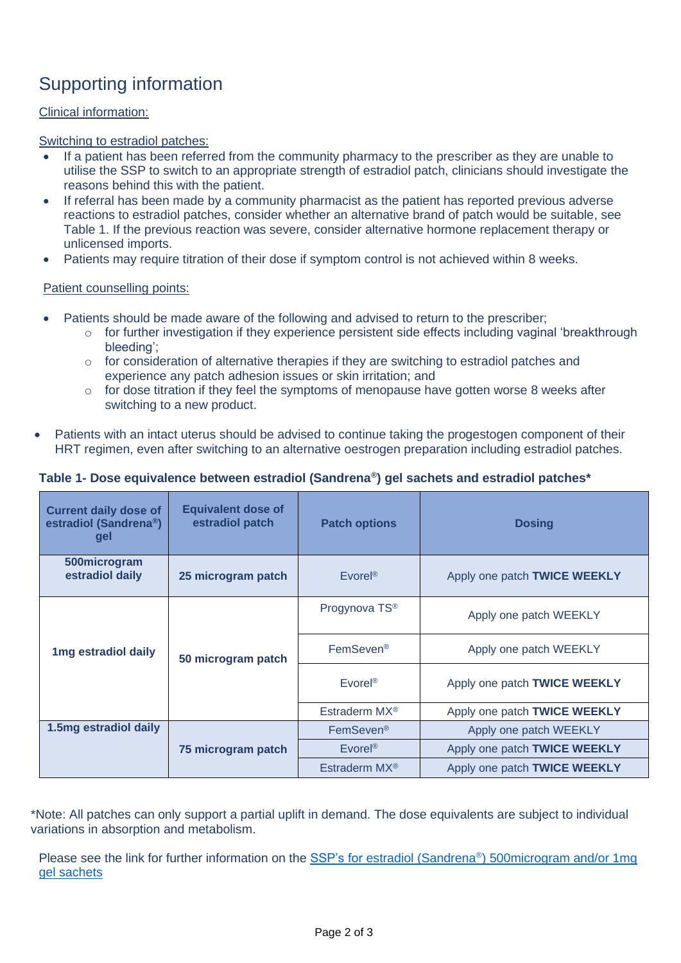## Supporting information

#### Clinical information:

Switching to estradiol patches:

- If a patient has been referred from the community pharmacy to the prescriber as they are unable to utilise the SSP to switch to an appropriate strength of estradiol patch, clinicians should investigate the reasons behind this with the patient.
- If referral has been made by a community pharmacist as the patient has reported previous adverse reactions to estradiol patches, consider whether an alternative brand of patch would be suitable, see Table 1. If the previous reaction was severe, consider alternative hormone replacement therapy or unlicensed imports.
- Patients may require titration of their dose if symptom control is not achieved within 8 weeks.

#### Patient counselling points:

- Patients should be made aware of the following and advised to return to the prescriber;
	- o for further investigation if they experience persistent side effects including vaginal 'breakthrough bleeding';
	- $\circ$  for consideration of alternative therapies if they are switching to estradiol patches and experience any patch adhesion issues or skin irritation; and
	- o for dose titration if they feel the symptoms of menopause have gotten worse 8 weeks after switching to a new product.
- Patients with an intact uterus should be advised to continue taking the progestogen component of their HRT regimen, even after switching to an alternative oestrogen preparation including estradiol patches.

#### **Table 1- Dose equivalence between estradiol (Sandrena® ) gel sachets and estradiol patches\***

| <b>Current daily dose of</b><br>estradiol (Sandrena®)<br>gel | <b>Equivalent dose of</b><br>estradiol patch | <b>Patch options</b>      | <b>Dosing</b>                |
|--------------------------------------------------------------|----------------------------------------------|---------------------------|------------------------------|
| 500 microgram<br>estradiol daily                             | 25 microgram patch                           | $E\nu$ orel®              | Apply one patch TWICE WEEKLY |
|                                                              |                                              | Progynova TS <sup>®</sup> | Apply one patch WEEKLY       |
| 1mg estradiol daily                                          | 50 microgram patch                           | FemSeven <sup>®</sup>     | Apply one patch WEEKLY       |
|                                                              |                                              | $E\nu$ orel <sup>®</sup>  | Apply one patch TWICE WEEKLY |
|                                                              |                                              | Estraderm MX <sup>®</sup> | Apply one patch TWICE WEEKLY |
| 1.5mg estradiol daily                                        |                                              | FemSeven <sup>®</sup>     | Apply one patch WEEKLY       |
|                                                              | 75 microgram patch                           | $E$ vorel <sup>®</sup>    | Apply one patch TWICE WEEKLY |
|                                                              |                                              | Estraderm MX <sup>®</sup> | Apply one patch TWICE WEEKLY |

\*Note: All patches can only support a partial uplift in demand. The dose equivalents are subject to individual variations in absorption and metabolism.

Please see the link for further information on the SSP's for estradiol (Sandrena®) 500microgram and/or 1mg [gel sachets](https://www.nhsbsa.nhs.uk/pharmacies-gp-practices-and-appliance-contractors/serious-shortage-protocols-ssps)